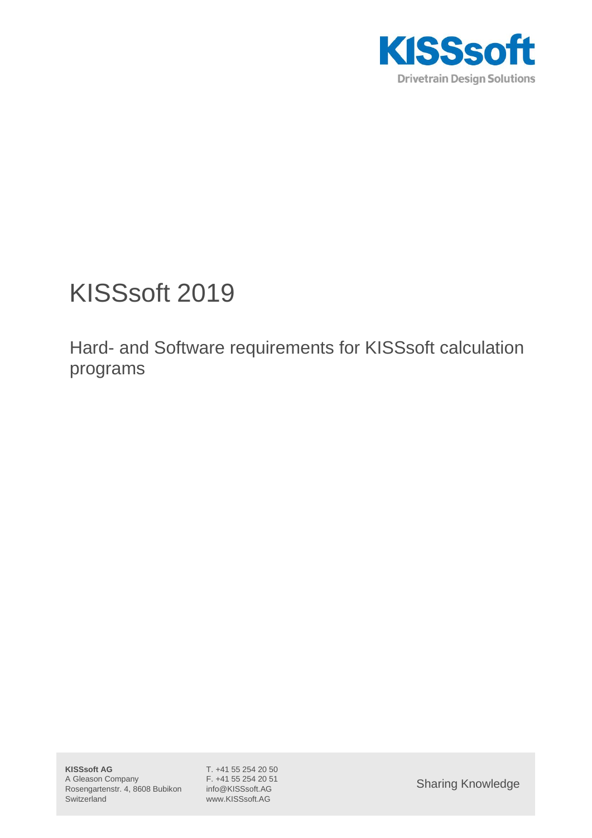

# KISSsoft 2019

Hard- and Software requirements for KISSsoft calculation programs

www.KISSsoft.AG

Sharing Knowledge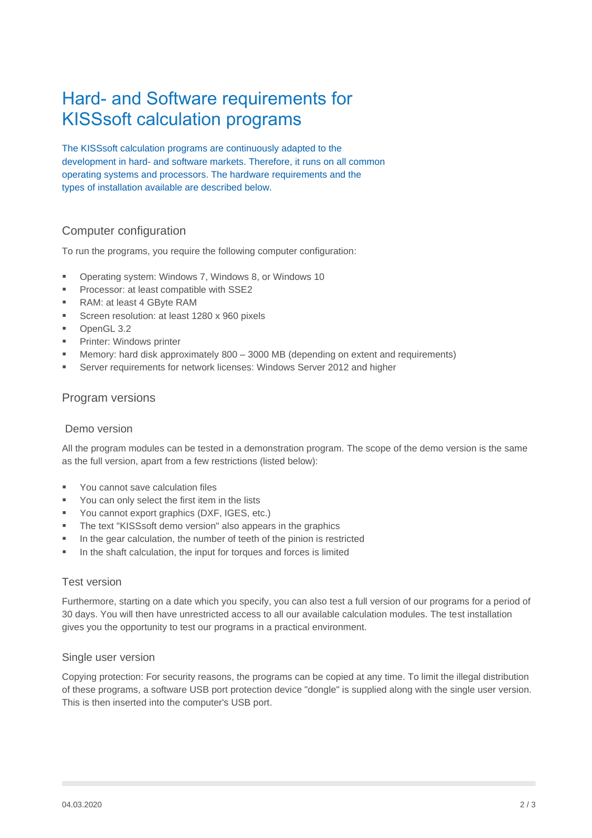# Hard- and Software requirements for KISSsoft calculation programs

The KISSsoft calculation programs are continuously adapted to the development in hard- and software markets. Therefore, it runs on all common operating systems and processors. The hardware requirements and the types of installation available are described below.

## Computer configuration

To run the programs, you require the following computer configuration:

- Operating system: Windows 7, Windows 8, or Windows 10
- Processor: at least compatible with SSE2
- RAM: at least 4 GByte RAM
- Screen resolution: at least 1280 x 960 pixels
- OpenGL 3.2
- Printer: Windows printer
- Memory: hard disk approximately  $800 3000$  MB (depending on extent and requirements)
- Server requirements for network licenses: Windows Server 2012 and higher

#### Program versions

#### Demo version

All the program modules can be tested in a demonstration program. The scope of the demo version is the same as the full version, apart from a few restrictions (listed below):

- You cannot save calculation files
- You can only select the first item in the lists
- You cannot export graphics (DXF, IGES, etc.)
- The text "KISSsoft demo version" also appears in the graphics
- In the gear calculation, the number of teeth of the pinion is restricted
- In the shaft calculation, the input for torques and forces is limited

#### Test version

Furthermore, starting on a date which you specify, you can also test a full version of our programs for a period of 30 days. You will then have unrestricted access to all our available calculation modules. The test installation gives you the opportunity to test our programs in a practical environment.

#### Single user version

Copying protection: For security reasons, the programs can be copied at any time. To limit the illegal distribution of these programs, a software USB port protection device "dongle" is supplied along with the single user version. This is then inserted into the computer's USB port.